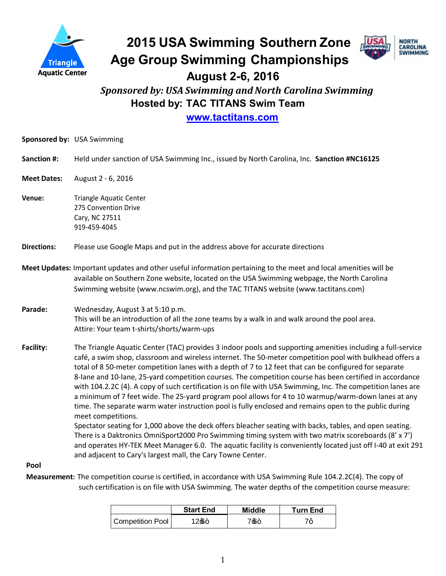

# **2015 USA Swimming Southern Zone Age Group Swimming Championships**



 **August 2-6, 2016**

 *Sponsored by: USA Swimming and North Carolina Swimming* **Hosted by: TAC TITANS Swim Team**

**[www.tactitans.com](http://www.tactitans.com/)**

|                    | Sponsored by: USA Swimming                                                                                                                                                                                                                                                                                                                                                                                                                                                                                                                                                                                                                                                                                                                                                                                                                                                                                                                                                                                                                                                                                                                                                                              |
|--------------------|---------------------------------------------------------------------------------------------------------------------------------------------------------------------------------------------------------------------------------------------------------------------------------------------------------------------------------------------------------------------------------------------------------------------------------------------------------------------------------------------------------------------------------------------------------------------------------------------------------------------------------------------------------------------------------------------------------------------------------------------------------------------------------------------------------------------------------------------------------------------------------------------------------------------------------------------------------------------------------------------------------------------------------------------------------------------------------------------------------------------------------------------------------------------------------------------------------|
| <b>Sanction #:</b> | Held under sanction of USA Swimming Inc., issued by North Carolina, Inc. Sanction #NC16125                                                                                                                                                                                                                                                                                                                                                                                                                                                                                                                                                                                                                                                                                                                                                                                                                                                                                                                                                                                                                                                                                                              |
| <b>Meet Dates:</b> | August 2 - 6, 2016                                                                                                                                                                                                                                                                                                                                                                                                                                                                                                                                                                                                                                                                                                                                                                                                                                                                                                                                                                                                                                                                                                                                                                                      |
| Venue:             | Triangle Aquatic Center<br>275 Convention Drive<br>Cary, NC 27511<br>919-459-4045                                                                                                                                                                                                                                                                                                                                                                                                                                                                                                                                                                                                                                                                                                                                                                                                                                                                                                                                                                                                                                                                                                                       |
| <b>Directions:</b> | Please use Google Maps and put in the address above for accurate directions                                                                                                                                                                                                                                                                                                                                                                                                                                                                                                                                                                                                                                                                                                                                                                                                                                                                                                                                                                                                                                                                                                                             |
|                    | Meet Updates: Important updates and other useful information pertaining to the meet and local amenities will be<br>available on Southern Zone website, located on the USA Swimming webpage, the North Carolina<br>Swimming website (www.ncswim.org), and the TAC TITANS website (www.tactitans.com)                                                                                                                                                                                                                                                                                                                                                                                                                                                                                                                                                                                                                                                                                                                                                                                                                                                                                                     |
| Parade:            | Wednesday, August 3 at 5:10 p.m.<br>This will be an introduction of all the zone teams by a walk in and walk around the pool area.<br>Attire: Your team t-shirts/shorts/warm-ups                                                                                                                                                                                                                                                                                                                                                                                                                                                                                                                                                                                                                                                                                                                                                                                                                                                                                                                                                                                                                        |
| <b>Facility:</b>   | The Triangle Aquatic Center (TAC) provides 3 indoor pools and supporting amenities including a full-service<br>café, a swim shop, classroom and wireless internet. The 50-meter competition pool with bulkhead offers a<br>total of 8 50-meter competition lanes with a depth of 7 to 12 feet that can be configured for separate<br>8-lane and 10-lane, 25-yard competition courses. The competition course has been certified in accordance<br>with 104.2.2C (4). A copy of such certification is on file with USA Swimming, Inc. The competition lanes are<br>a minimum of 7 feet wide. The 25-yard program pool allows for 4 to 10 warmup/warm-down lanes at any<br>time. The separate warm water instruction pool is fully enclosed and remains open to the public during<br>meet competitions.<br>Spectator seating for 1,000 above the deck offers bleacher seating with backs, tables, and open seating.<br>There is a Daktronics OmniSport2000 Pro Swimming timing system with two matrix scoreboards (8' x 7')<br>and operates HY-TEK Meet Manager 6.0. The aquatic facility is conveniently located just off I-40 at exit 291<br>and adjacent to Cary's largest mall, the Cary Towne Center. |
| Pool               |                                                                                                                                                                                                                                                                                                                                                                                                                                                                                                                                                                                                                                                                                                                                                                                                                                                                                                                                                                                                                                                                                                                                                                                                         |

**Measurement:** The competition course is certified, in accordance with USA Swimming Rule 104.2.2C(4). The copy of such certification is on file with USA Swimming. The water depths of the competition course measure:

|                  | <b>Start End</b> | Middle | <b>Turn End</b> |
|------------------|------------------|--------|-----------------|
| Competition Pool | 126+             | 766+   |                 |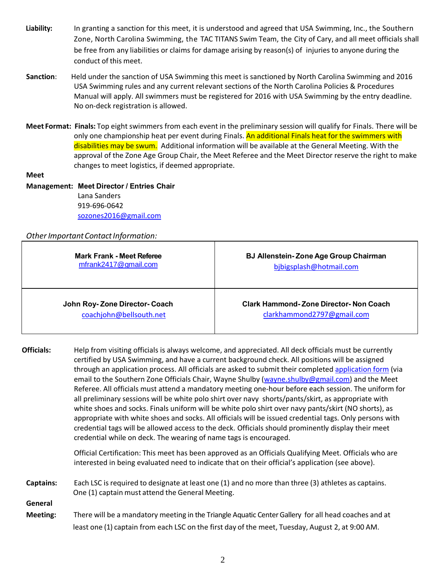- **Liability:** In granting a sanction for this meet, it is understood and agreed that USA Swimming, Inc., the Southern Zone, North Carolina Swimming, the TAC TITANS Swim Team, the City of Cary, and all meet officials shall be free from any liabilities or claims for damage arising by reason(s) of injuries to anyone during the conduct of this meet.
- **Sanction**: Held under the sanction of USA Swimming this meet is sanctioned by North Carolina Swimming and 2016 USA Swimming rules and any current relevant sections of the North Carolina Policies & Procedures Manual will apply. All swimmers must be registered for 2016 with USA Swimming by the entry deadline. No on-deck registration is allowed.
- **Meet Format: Finals:** Top eight swimmers from each event in the preliminary session will qualify for Finals. There will be only one championship heat per event during Finals. An additional Finals heat for the swimmers with disabilities may be swum. Additional information will be available at the General Meeting. With the approval of the Zone Age Group Chair, the Meet Referee and the Meet Director reserve the right to make changes to meet logistics, if deemed appropriate.

#### **Meet**

### **Management: Meet Director / Entries Chair**  Lana Sanders 919-696-0642 [sozones2016@gmail.com](mailto:sozones2016@gmail.com)

### **Other Important Contact Information:**

| Mark Frank - Meet Referee<br>mfrank2417@gmail.com       | <b>BJ Allenstein-Zone Age Group Chairman</b><br>bjbigsplash@hotmail.com |
|---------------------------------------------------------|-------------------------------------------------------------------------|
| John Roy-Zone Director-Coach<br>coachjohn@bellsouth.net | Clark Hammond-Zone Director-Non Coach<br>clarkhammond2797@gmail.com     |

**Officials:** Help from visiting officials is always welcome, and appreciated. All deck officials must be currently certified by USA Swimming, and have a current background check. All positions will be assigned through an application process. All officials are asked to submit their completed [application form](https://www.teamunify.com/TabGeneric.jsp?_tabid_=43797&team=szlsc) (via email to the Southern Zone Officials Chair, Wayne Shulby [\(wayne.shulby@gmail.com](mailto:wayne.shulby@gmail.com)) and the Meet Referee. All officials must attend a mandatory meeting one-hour before each session. The uniform for all preliminary sessions will be white polo shirt over navy shorts/pants/skirt, as appropriate with white shoes and socks. Finals uniform will be white polo shirt over navy pants/skirt (NO shorts), as appropriate with white shoes and socks. All officials will be issued credential tags. Only persons with credential tags will be allowed access to the deck. Officials should prominently display their meet credential while on deck. The wearing of name tags is encouraged.

> Official Certification: This meet has been approved as an Officials Qualifying Meet. Officials who are interested in being evaluated need to indicate that on their official's application (see above).

- **Captains:** Each LSC is required to designate at least one (1) and no more than three (3) athletes as captains. One (1) captain must attend the General Meeting. **General**
- **Meeting:** There will be a mandatory meeting in the Triangle Aquatic Center Gallery for all head coaches and at least one (1) captain from each LSC on the first day of the meet, Tuesday, August 2, at 9:00 AM.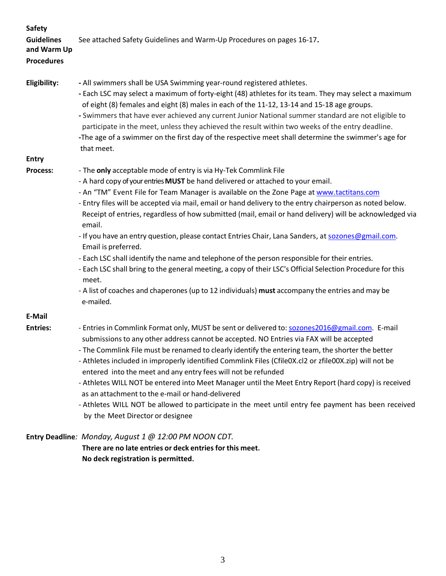| <b>Safety</b><br><b>Guidelines</b><br>and Warm Up<br><b>Procedures</b> | See attached Safety Guidelines and Warm-Up Procedures on pages 16-17.                                                                                                                                                                                                                                                                                                                                                                                                                                                                                                                                                                                                                                                                                                                                                                                                                                                                                |
|------------------------------------------------------------------------|------------------------------------------------------------------------------------------------------------------------------------------------------------------------------------------------------------------------------------------------------------------------------------------------------------------------------------------------------------------------------------------------------------------------------------------------------------------------------------------------------------------------------------------------------------------------------------------------------------------------------------------------------------------------------------------------------------------------------------------------------------------------------------------------------------------------------------------------------------------------------------------------------------------------------------------------------|
| Eligibility:                                                           | - All swimmers shall be USA Swimming year-round registered athletes.<br>- Each LSC may select a maximum of forty-eight (48) athletes for its team. They may select a maximum<br>of eight (8) females and eight (8) males in each of the 11-12, 13-14 and 15-18 age groups.<br>- Swimmers that have ever achieved any current Junior National summer standard are not eligible to<br>participate in the meet, unless they achieved the result within two weeks of the entry deadline.<br>-The age of a swimmer on the first day of the respective meet shall determine the swimmer's age for<br>that meet.                                                                                                                                                                                                                                                                                                                                            |
| <b>Entry</b>                                                           |                                                                                                                                                                                                                                                                                                                                                                                                                                                                                                                                                                                                                                                                                                                                                                                                                                                                                                                                                      |
| <b>Process:</b>                                                        | - The only acceptable mode of entry is via Hy-Tek Commlink File<br>- A hard copy of your entries MUST be hand delivered or attached to your email.<br>- An "TM" Event File for Team Manager is available on the Zone Page at www.tactitans.com<br>- Entry files will be accepted via mail, email or hand delivery to the entry chairperson as noted below.<br>Receipt of entries, regardless of how submitted (mail, email or hand delivery) will be acknowledged via<br>email.<br>- If you have an entry question, please contact Entries Chair, Lana Sanders, at sozones@gmail.com.<br>Email is preferred.<br>- Each LSC shall identify the name and telephone of the person responsible for their entries.<br>- Each LSC shall bring to the general meeting, a copy of their LSC's Official Selection Procedure for this<br>meet.<br>- A list of coaches and chaperones (up to 12 individuals) must accompany the entries and may be<br>e-mailed. |
| E-Mail                                                                 |                                                                                                                                                                                                                                                                                                                                                                                                                                                                                                                                                                                                                                                                                                                                                                                                                                                                                                                                                      |
| <b>Entries:</b>                                                        | - Entries in Commlink Format only, MUST be sent or delivered to: sozones2016@gmail.com. E-mail<br>submissions to any other address cannot be accepted. NO Entries via FAX will be accepted<br>- The Commlink File must be renamed to clearly identify the entering team, the shorter the better<br>- Athletes included in improperly identified Commlink Files (CfileOX.cl2 or zfileOOX.zip) will not be<br>entered into the meet and any entry fees will not be refunded<br>- Athletes WILL NOT be entered into Meet Manager until the Meet Entry Report (hard copy) is received<br>as an attachment to the e-mail or hand-delivered<br>- Athletes WILL NOT be allowed to participate in the meet until entry fee payment has been received                                                                                                                                                                                                         |

by the Meet Director or designee

### **Entry Deadline***: Monday, August 1 @ 12:00 PM NOON CDT.*

 **There are no late entries or deck entriesfor this meet. No deck registration is permitted.**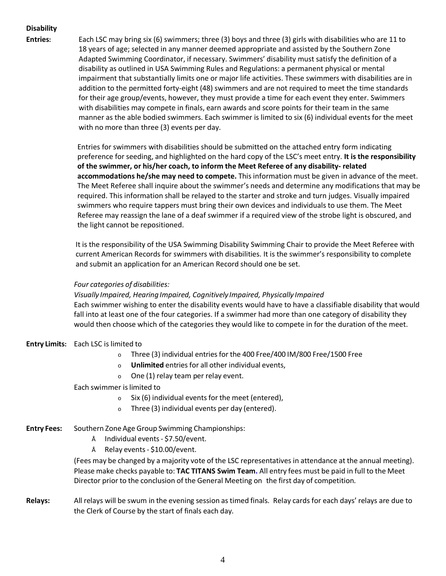**Disability**

**Entries:** Each LSC may bring six (6) swimmers; three (3) boys and three (3) girls with disabilities who are 11 to 18 years of age; selected in any manner deemed appropriate and assisted by the Southern Zone Adapted Swimming Coordinator, if necessary. Swimmers' disability must satisfy the definition of a disability as outlined in USA Swimming Rules and Regulations: a permanent physical or mental impairment that substantially limits one or major life activities. These swimmers with disabilities are in addition to the permitted forty-eight (48) swimmers and are not required to meet the time standards for their age group/events, however, they must provide a time for each event they enter. Swimmers with disabilities may compete in finals, earn awards and score points for their team in the same manner as the able bodied swimmers. Each swimmer is limited to six (6) individual events for the meet with no more than three (3) events per day.

> Entries for swimmers with disabilities should be submitted on the attached entry form indicating preference for seeding, and highlighted on the hard copy of the LSC's meet entry. **It is the responsibility of the swimmer, or his/her coach, to inform the Meet Referee of any disability- related accommodations he/she may need to compete.** This information must be given in advance of the meet. The Meet Referee shall inquire about the swimmer's needs and determine any modifications that may be required. This information shall be relayed to the starter and stroke and turn judges. Visually impaired swimmers who require tappers must bring their own devices and individuals to use them. The Meet Referee may reassign the lane of a deaf swimmer if a required view of the strobe light is obscured, and the light cannot be repositioned.

It is the responsibility of the USA Swimming Disability Swimming Chair to provide the Meet Referee with current American Records for swimmers with disabilities. It is the swimmer's responsibility to complete and submit an application for an American Record should one be set.

#### *Four categories of disabilities:*

*Visually Impaired, Hearing Impaired, Cognitively Impaired, Physically Impaired* Each swimmer wishing to enter the disability events would have to have a classifiable disability that would fall into at least one of the four categories. If a swimmer had more than one category of disability they would then choose which of the categories they would like to compete in for the duration of the meet.

#### **Entry Limits:** Each LSC is limited to

- o Three (3) individual entries for the 400 Free/400 IM/800 Free/1500 Free
- o **Unlimited** entries for all other individual events,
- o One (1) relay team per relay event.

#### Each swimmer islimited to

- o Six (6) individual events for the meet (entered),
- o Three (3) individual events per day (entered).
- **Entry Fees:** Southern Zone Age Group Swimming Championships:
	- Individual events- \$7.50/event.
	- Relay events- \$10.00/event.

(Fees may be changed by a majority vote of the LSC representatives in attendance at the annual meeting). Please make checks payable to: **TAC TITANS Swim Team.** All entry fees must be paid in full to the Meet Director prior to the conclusion of the General Meeting on the first day of competition.

**Relays:** All relays will be swum in the evening session as timed finals. Relay cards for each days' relays are due to the Clerk of Course by the start of finals each day.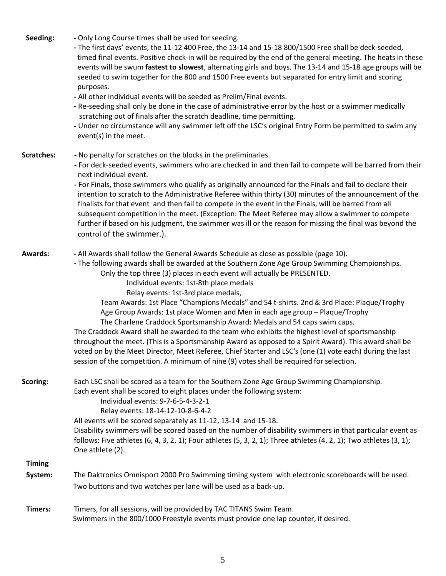| Seeding:          | - Only Long Course times shall be used for seeding.<br>- The first days' events, the 11-12 400 Free, the 13-14 and 15-18 800/1500 Free shall be deck-seeded,<br>timed final events. Positive check-in will be required by the end of the general meeting. The heats in these<br>events will be swum fastest to slowest, alternating girls and boys. The 13-14 and 15-18 age groups will be<br>seeded to swim together for the 800 and 1500 Free events but separated for entry limit and scoring<br>purposes.<br>- All other individual events will be seeded as Prelim/Final events.<br>- Re-seeding shall only be done in the case of administrative error by the host or a swimmer medically<br>scratching out of finals after the scratch deadline, time permitting.<br>- Under no circumstance will any swimmer left off the LSC's original Entry Form be permitted to swim any<br>event(s) in the meet.                                                                                                                     |
|-------------------|-----------------------------------------------------------------------------------------------------------------------------------------------------------------------------------------------------------------------------------------------------------------------------------------------------------------------------------------------------------------------------------------------------------------------------------------------------------------------------------------------------------------------------------------------------------------------------------------------------------------------------------------------------------------------------------------------------------------------------------------------------------------------------------------------------------------------------------------------------------------------------------------------------------------------------------------------------------------------------------------------------------------------------------|
| <b>Scratches:</b> | - No penalty for scratches on the blocks in the preliminaries.<br>- For deck-seeded events, swimmers who are checked in and then fail to compete will be barred from their<br>next individual event.<br>- For Finals, those swimmers who qualify as originally announced for the Finals and fail to declare their<br>intention to scratch to the Administrative Referee within thirty (30) minutes of the announcement of the<br>finalists for that event and then fail to compete in the event in the Finals, will be barred from all<br>subsequent competition in the meet. (Exception: The Meet Referee may allow a swimmer to compete<br>further if based on his judgment, the swimmer was ill or the reason for missing the final was beyond the<br>control of the swimmer.).                                                                                                                                                                                                                                                |
| <b>Awards:</b>    | - All Awards shall follow the General Awards Schedule as close as possible (page 10).<br>- The following awards shall be awarded at the Southern Zone Age Group Swimming Championships.<br>Only the top three (3) places in each event will actually be PRESENTED.<br>Individual events: 1st-8th place medals<br>Relay events: 1st-3rd place medals,<br>Team Awards: 1st Place "Champions Medals" and 54 t-shirts. 2nd & 3rd Place: Plaque/Trophy<br>Age Group Awards: 1st place Women and Men in each age group - Plaque/Trophy<br>The Charlene Craddock Sportsmanship Award: Medals and 54 caps swim caps.<br>The Craddock Award shall be awarded to the team who exhibits the highest level of sportsmanship<br>throughout the meet. (This is a Sportsmanship Award as opposed to a Spirit Award). This award shall be<br>voted on by the Meet Director, Meet Referee, Chief Starter and LSC's (one (1) vote each) during the last<br>session of the competition. A minimum of nine (9) votes shall be required for selection. |
| Scoring:          | Each LSC shall be scored as a team for the Southern Zone Age Group Swimming Championship.<br>Each event shall be scored to eight places under the following system:<br>Individual events: 9-7-6-5-4-3-2-1<br>Relay events: 18-14-12-10-8-6-4-2<br>All events will be scored separately as 11-12, 13-14 and 15-18.<br>Disability swimmers will be scored based on the number of disability swimmers in that particular event as<br>follows: Five athletes $(6, 4, 3, 2, 1)$ ; Four athletes $(5, 3, 2, 1)$ ; Three athletes $(4, 2, 1)$ ; Two athletes $(3, 1)$ ;<br>One athlete (2).                                                                                                                                                                                                                                                                                                                                                                                                                                              |
| <b>Timing</b>     |                                                                                                                                                                                                                                                                                                                                                                                                                                                                                                                                                                                                                                                                                                                                                                                                                                                                                                                                                                                                                                   |
| System:           | The Daktronics Omnisport 2000 Pro Swimming timing system with electronic scoreboards will be used.                                                                                                                                                                                                                                                                                                                                                                                                                                                                                                                                                                                                                                                                                                                                                                                                                                                                                                                                |
|                   | Two buttons and two watches per lane will be used as a back-up.                                                                                                                                                                                                                                                                                                                                                                                                                                                                                                                                                                                                                                                                                                                                                                                                                                                                                                                                                                   |
| Timers:           | Timers, for all sessions, will be provided by TAC TITANS Swim Team.                                                                                                                                                                                                                                                                                                                                                                                                                                                                                                                                                                                                                                                                                                                                                                                                                                                                                                                                                               |

Swimmers in the 800/1000 Freestyle events must provide one lap counter, if desired.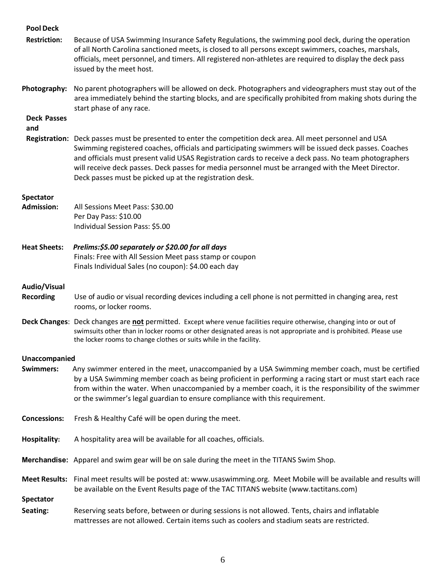| <b>Pool Deck</b>          |                                                                                                                                                                                                                                                                                                                                                                                                                                                                                                |
|---------------------------|------------------------------------------------------------------------------------------------------------------------------------------------------------------------------------------------------------------------------------------------------------------------------------------------------------------------------------------------------------------------------------------------------------------------------------------------------------------------------------------------|
| <b>Restriction:</b>       | Because of USA Swimming Insurance Safety Regulations, the swimming pool deck, during the operation<br>of all North Carolina sanctioned meets, is closed to all persons except swimmers, coaches, marshals,<br>officials, meet personnel, and timers. All registered non-athletes are required to display the deck pass<br>issued by the meet host.                                                                                                                                             |
| Photography:              | No parent photographers will be allowed on deck. Photographers and videographers must stay out of the<br>area immediately behind the starting blocks, and are specifically prohibited from making shots during the<br>start phase of any race.                                                                                                                                                                                                                                                 |
| <b>Deck Passes</b><br>and |                                                                                                                                                                                                                                                                                                                                                                                                                                                                                                |
|                           | Registration: Deck passes must be presented to enter the competition deck area. All meet personnel and USA<br>Swimming registered coaches, officials and participating swimmers will be issued deck passes. Coaches<br>and officials must present valid USAS Registration cards to receive a deck pass. No team photographers<br>will receive deck passes. Deck passes for media personnel must be arranged with the Meet Director.<br>Deck passes must be picked up at the registration desk. |
| <b>Spectator</b>          |                                                                                                                                                                                                                                                                                                                                                                                                                                                                                                |
| <b>Admission:</b>         | All Sessions Meet Pass: \$30.00<br>Per Day Pass: \$10.00<br>Individual Session Pass: \$5.00                                                                                                                                                                                                                                                                                                                                                                                                    |
| <b>Heat Sheets:</b>       | Prelims:\$5.00 separately or \$20.00 for all days<br>Finals: Free with All Session Meet pass stamp or coupon<br>Finals Individual Sales (no coupon): \$4.00 each day                                                                                                                                                                                                                                                                                                                           |
| Audio/Visual              |                                                                                                                                                                                                                                                                                                                                                                                                                                                                                                |
| <b>Recording</b>          | Use of audio or visual recording devices including a cell phone is not permitted in changing area, rest<br>rooms, or locker rooms.                                                                                                                                                                                                                                                                                                                                                             |
|                           | Deck Changes: Deck changes are not permitted. Except where venue facilities require otherwise, changing into or out of<br>swimsuits other than in locker rooms or other designated areas is not appropriate and is prohibited. Please use<br>the locker rooms to change clothes or suits while in the facility.                                                                                                                                                                                |
| Unaccompanied             |                                                                                                                                                                                                                                                                                                                                                                                                                                                                                                |
| <b>Swimmers:</b>          | Any swimmer entered in the meet, unaccompanied by a USA Swimming member coach, must be certified<br>by a USA Swimming member coach as being proficient in performing a racing start or must start each race<br>from within the water. When unaccompanied by a member coach, it is the responsibility of the swimmer<br>or the swimmer's legal guardian to ensure compliance with this requirement.                                                                                             |
| <b>Concessions:</b>       | Fresh & Healthy Café will be open during the meet.                                                                                                                                                                                                                                                                                                                                                                                                                                             |
| <b>Hospitality:</b>       | A hospitality area will be available for all coaches, officials.                                                                                                                                                                                                                                                                                                                                                                                                                               |
|                           | Merchandise: Apparel and swim gear will be on sale during the meet in the TITANS Swim Shop.                                                                                                                                                                                                                                                                                                                                                                                                    |
|                           | Meet Results: Final meet results will be posted at: www.usaswimming.org. Meet Mobile will be available and results will<br>be available on the Event Results page of the TAC TITANS website (www.tactitans.com)                                                                                                                                                                                                                                                                                |
| <b>Spectator</b>          |                                                                                                                                                                                                                                                                                                                                                                                                                                                                                                |
| Seating:                  | Reserving seats before, between or during sessions is not allowed. Tents, chairs and inflatable<br>mattresses are not allowed. Certain items such as coolers and stadium seats are restricted.                                                                                                                                                                                                                                                                                                 |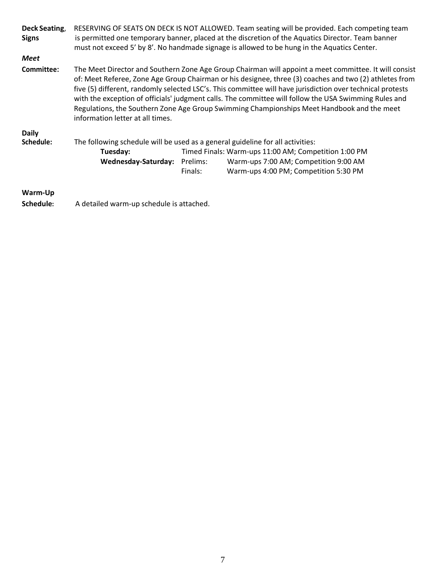| Deck Seating,<br><b>Signs</b> |                                                                                |          | RESERVING OF SEATS ON DECK IS NOT ALLOWED. Team seating will be provided. Each competing team<br>is permitted one temporary banner, placed at the discretion of the Aquatics Director. Team banner<br>must not exceed 5' by 8'. No handmade signage is allowed to be hung in the Aquatics Center.                                                                                                                                                                                                                                    |
|-------------------------------|--------------------------------------------------------------------------------|----------|--------------------------------------------------------------------------------------------------------------------------------------------------------------------------------------------------------------------------------------------------------------------------------------------------------------------------------------------------------------------------------------------------------------------------------------------------------------------------------------------------------------------------------------|
| <b>Meet</b>                   |                                                                                |          |                                                                                                                                                                                                                                                                                                                                                                                                                                                                                                                                      |
| Committee:                    | information letter at all times.                                               |          | The Meet Director and Southern Zone Age Group Chairman will appoint a meet committee. It will consist<br>of: Meet Referee, Zone Age Group Chairman or his designee, three (3) coaches and two (2) athletes from<br>five (5) different, randomly selected LSC's. This committee will have jurisdiction over technical protests<br>with the exception of officials' judgment calls. The committee will follow the USA Swimming Rules and<br>Regulations, the Southern Zone Age Group Swimming Championships Meet Handbook and the meet |
| <b>Daily</b>                  |                                                                                |          |                                                                                                                                                                                                                                                                                                                                                                                                                                                                                                                                      |
| Schedule:                     | The following schedule will be used as a general guideline for all activities: |          |                                                                                                                                                                                                                                                                                                                                                                                                                                                                                                                                      |
|                               | Tuesday:                                                                       |          | Timed Finals: Warm-ups 11:00 AM; Competition 1:00 PM                                                                                                                                                                                                                                                                                                                                                                                                                                                                                 |
|                               | Wednesday-Saturday:                                                            | Prelims: | Warm-ups 7:00 AM; Competition 9:00 AM                                                                                                                                                                                                                                                                                                                                                                                                                                                                                                |
|                               |                                                                                | Finals:  | Warm-ups 4:00 PM; Competition 5:30 PM                                                                                                                                                                                                                                                                                                                                                                                                                                                                                                |
| Warm-Up                       |                                                                                |          |                                                                                                                                                                                                                                                                                                                                                                                                                                                                                                                                      |

**Schedule:** A detailed warm-up schedule is attached.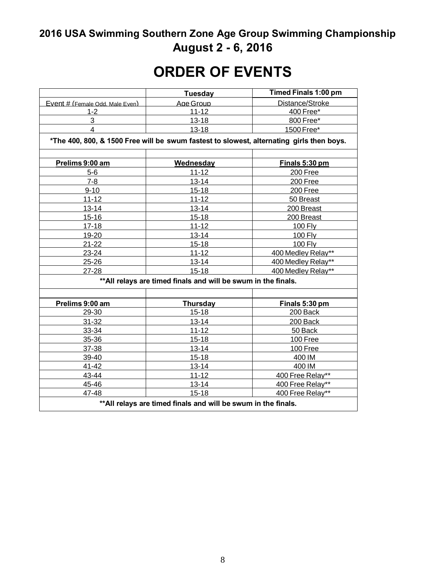# **2016 USA Swimming Southern Zone Age Group Swimming Championship August 2 - 6, 2016**

# **ORDER OF EVENTS**

|                                                                | <b>Tuesday</b>  | Timed Finals 1:00 pm                                                                     |  |  |  |
|----------------------------------------------------------------|-----------------|------------------------------------------------------------------------------------------|--|--|--|
| Event # (Female Odd, Male Even)                                | Age Group       | Distance/Stroke                                                                          |  |  |  |
| $1 - 2$                                                        | $11 - 12$       | 400 Free*                                                                                |  |  |  |
| 3                                                              | $13 - 18$       | 800 Free*                                                                                |  |  |  |
| 4                                                              | $13 - 18$       | 1500 Free*                                                                               |  |  |  |
|                                                                |                 | *The 400, 800, & 1500 Free will be swum fastest to slowest, alternating girls then boys. |  |  |  |
| Prelims 9:00 am                                                | Wednesday       | <u>Finals 5:30 pm</u>                                                                    |  |  |  |
| $5-6$                                                          | $11 - 12$       | 200 Free                                                                                 |  |  |  |
| $7 - 8$                                                        | $13 - 14$       | 200 Free                                                                                 |  |  |  |
| $9 - 10$                                                       | $15 - 18$       | 200 Free                                                                                 |  |  |  |
| $11 - 12$                                                      | $11 - 12$       | 50 Breast                                                                                |  |  |  |
| $13 - 14$                                                      | $13 - 14$       | 200 Breast                                                                               |  |  |  |
| $15 - 16$                                                      | $15 - 18$       | 200 Breast                                                                               |  |  |  |
| $17 - 18$                                                      | $11 - 12$       | 100 Fly                                                                                  |  |  |  |
| 19-20                                                          | $13 - 14$       | 100 Fly                                                                                  |  |  |  |
| $21 - 22$                                                      | $15 - 18$       | 100 Fly                                                                                  |  |  |  |
| 23-24                                                          | $11 - 12$       | 400 Medley Relay**                                                                       |  |  |  |
| 25-26                                                          | 13-14           | 400 Medley Relay**                                                                       |  |  |  |
| 27-28                                                          | $15 - 18$       | 400 Medley Relay**                                                                       |  |  |  |
| ** All relays are timed finals and will be swum in the finals. |                 |                                                                                          |  |  |  |
|                                                                |                 |                                                                                          |  |  |  |
| Prelims 9:00 am                                                | <b>Thursday</b> | Finals 5:30 pm                                                                           |  |  |  |
| 29-30                                                          | $15 - 18$       | 200 Back                                                                                 |  |  |  |
| $31 - 32$                                                      | $13 - 14$       | 200 Back                                                                                 |  |  |  |
| 33-34                                                          | $11 - 12$       | 50 Back                                                                                  |  |  |  |
| 35-36                                                          | $15 - 18$       | 100 Free                                                                                 |  |  |  |
| 37-38                                                          | $13 - 14$       | 100 Free                                                                                 |  |  |  |
| 39-40                                                          | $15 - 18$       | 400 IM                                                                                   |  |  |  |
| 41-42                                                          | $13 - 14$       | 400 IM                                                                                   |  |  |  |
| 43-44                                                          | $11 - 12$       | 400 Free Relay**                                                                         |  |  |  |
| 45-46                                                          | $13 - 14$       | 400 Free Relay**                                                                         |  |  |  |
| 47-48                                                          | $15 - 18$       | 400 Free Relay**                                                                         |  |  |  |
| ** All relays are timed finals and will be swum in the finals. |                 |                                                                                          |  |  |  |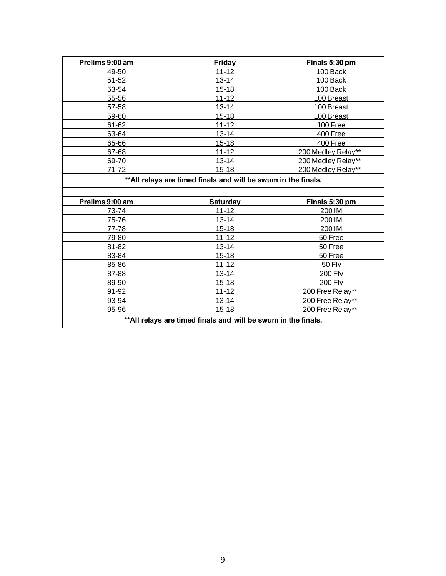| Prelims 9:00 am | Friday    | Finals 5:30 pm     |
|-----------------|-----------|--------------------|
| 49-50           | $11 - 12$ | 100 Back           |
| 51-52           | $13 - 14$ | 100 Back           |
| 53-54           | $15 - 18$ | 100 Back           |
| 55-56           | $11 - 12$ | 100 Breast         |
| 57-58           | $13 - 14$ | 100 Breast         |
| 59-60           | $15 - 18$ | 100 Breast         |
| 61-62           | $11 - 12$ | 100 Free           |
| 63-64           | $13 - 14$ | 400 Free           |
| 65-66           | $15 - 18$ | 400 Free           |
| 67-68           | $11 - 12$ | 200 Medley Relay** |
| 69-70           | $13 - 14$ | 200 Medley Relay** |
| 71-72           | $15 - 18$ | 200 Medley Relay** |

### **\*\*All relays are timed finals and will be swum in the finals.**

| Prelims 9:00 am                                                | <b>Saturday</b> | Finals 5:30 pm   |  |
|----------------------------------------------------------------|-----------------|------------------|--|
| 73-74                                                          | $11 - 12$       | 200 IM           |  |
| 75-76                                                          | $13 - 14$       | 200 IM           |  |
| 77-78                                                          | $15 - 18$       | 200 IM           |  |
| 79-80                                                          | $11 - 12$       | 50 Free          |  |
| 81-82                                                          | $13 - 14$       | 50 Free          |  |
| 83-84                                                          | $15 - 18$       | 50 Free          |  |
| 85-86                                                          | $11 - 12$       | 50 Flv           |  |
| 87-88                                                          | $13 - 14$       | <b>200 Flv</b>   |  |
| 89-90                                                          | $15 - 18$       | <b>200 Fly</b>   |  |
| 91-92                                                          | $11 - 12$       | 200 Free Relay** |  |
| 93-94                                                          | $13 - 14$       | 200 Free Relay** |  |
| 95-96                                                          | $15 - 18$       | 200 Free Relay** |  |
| ** All relays are timed finals and will be swum in the finals. |                 |                  |  |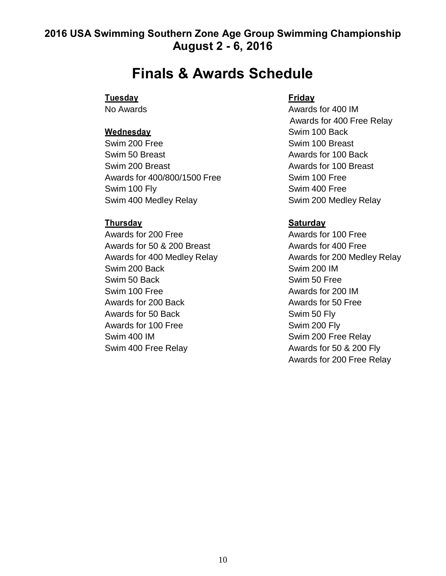## **2016 USA Swimming Southern Zone Age Group Swimming Championship August 2 - 6, 2016**

# **Finals & Awards Schedule**

### **Tuesday Friday**

Swim 200 Free Swim 100 Breast Swim 50 Breast **Awards** For 100 Back Swim 200 Breast **Awards** for 100 Breast Awards for 400/800/1500 Free Swim 100 Free Swim 100 Fly Swim 400 Free Swim 400 Medley Relay Swim 200 Medley Relay

Awards for 200 Free Awards for 100 Free Awards for 50 & 200 Breast Awards for 400 Free Swim 200 Back Swim 200 IM Swim 50 Back Swim 50 Free Swim 100 Free Awards for 200 IM Awards for 200 Back Awards for 50 Free Awards for 50 Back Swim 50 Fly Awards for 100 Free Swim 200 Fly Swim 400 IM Swim 200 Free Relay Swim 400 Free Relay Awards for 50 & 200 Fly

No Awards **Awards Awards Awards Awards** for 400 IM Awards for 400 Free Relay **Wednesday Swim 100 Back** 

### **Thursday Saturday**

Awards for 400 Medley Relay Manuel Awards for 200 Medley Relay Awards for 200 Free Relay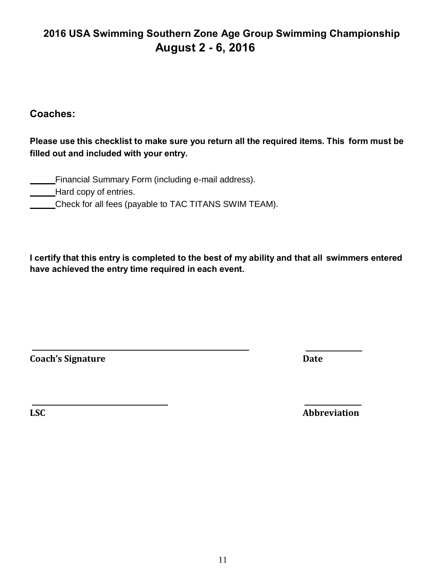## **2016 USA Swimming Southern Zone Age Group Swimming Championship August 2 - 6, 2016**

### **Coaches:**

**Please use this checklist to make sure you return all the required items. This form must be filled out and included with your entry.**

**Financial Summary Form (including e-mail address).** 

**Hard copy of entries.** 

Check for all fees (payable to TAC TITANS SWIM TEAM).

**I certify that this entry is completed to the best of my ability and that all swimmers entered have achieved the entry time required in each event.**

**Coach's Signature Date**

**LSC Abbreviation**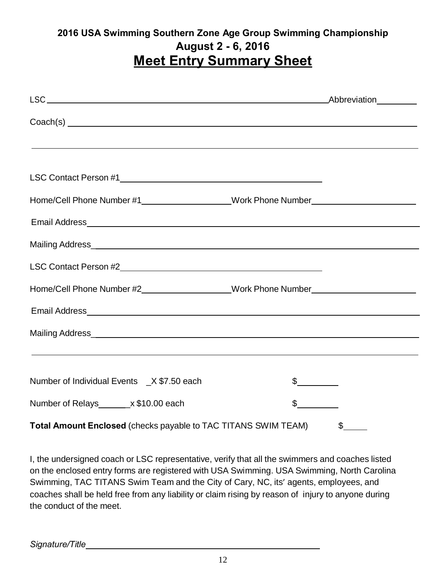## **2016 USA Swimming Southern Zone Age Group Swimming Championship August 2 - 6, 2016 Meet Entry Summary Sheet**

| $Coach(s)$ $\overline{\qquad \qquad }$                                                                                     |               |                       |
|----------------------------------------------------------------------------------------------------------------------------|---------------|-----------------------|
| ,我们也不会有什么。""我们的人,我们也不会有什么?""我们的人,我们也不会有什么?""我们的人,我们也不会有什么?""我们的人,我们也不会有什么?""我们的人                                           |               |                       |
|                                                                                                                            |               |                       |
| Home/Cell Phone Number #1___________________Work Phone Number___________________                                           |               |                       |
|                                                                                                                            |               |                       |
|                                                                                                                            |               |                       |
|                                                                                                                            |               |                       |
| Home/Cell Phone Number #2__________________Work Phone Number____________________                                           |               |                       |
|                                                                                                                            |               |                       |
|                                                                                                                            |               |                       |
| <u>and the contract of the contract of the contract of the contract of the contract of the contract of the contract of</u> |               |                       |
| Number of Individual Events _X \$7.50 each                                                                                 | $\mathcal{S}$ |                       |
| Number of Relays________ x \$10.00 each                                                                                    | $\frac{1}{2}$ |                       |
| Total Amount Enclosed (checks payable to TAC TITANS SWIM TEAM)                                                             |               | $\boldsymbol{\theta}$ |

I, the undersigned coach or LSC representative, verify that all the swimmers and coaches listed on the enclosed entry forms are registered with USA Swimming. USA Swimming, North Carolina Swimming, TAC TITANS Swim Team and the City of Cary, NC, its' agents, employees, and coaches shall be held free from any liability or claim rising by reason of injury to anyone during the conduct of the meet.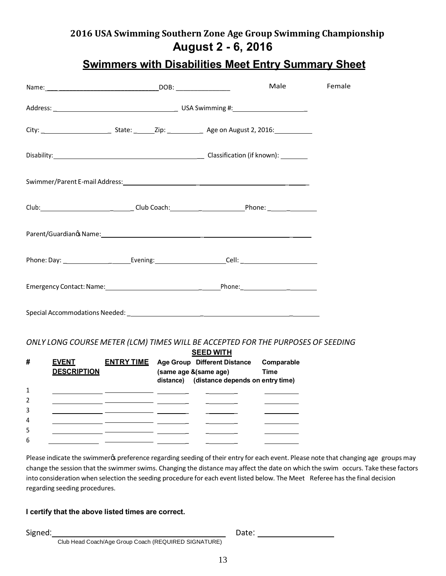## **2016 USA Swimming Southern Zone Age Group Swimming Championship August 2 - 6, 2016**

## **Swimmers with Disabilities Meet Entry Summary Sheet**

|  | Male                                                                              | Female |
|--|-----------------------------------------------------------------------------------|--------|
|  |                                                                                   |        |
|  |                                                                                   |        |
|  | Disability: 1990 Classification (if known): 1991                                  |        |
|  |                                                                                   |        |
|  | Club: Club: Club Coach: Club Coach: Phone: Phone:                                 |        |
|  |                                                                                   |        |
|  |                                                                                   |        |
|  |                                                                                   |        |
|  | Special Accommodations Needed: New York Change and Special Accommodations Needed: |        |

#### *ONLY LONG COURSE METER (LCM) TIMES WILL BE ACCEPTED FOR THE PURPOSES OF SEEDING*

|   |                    |                   | <b>SEED WITH</b> |                                            |             |
|---|--------------------|-------------------|------------------|--------------------------------------------|-------------|
| # | <b>EVENT</b>       | <b>ENTRY TIME</b> |                  | Age Group Different Distance               | Comparable  |
|   | <b>DESCRIPTION</b> |                   |                  | (same age & (same age)                     | <b>Time</b> |
|   |                    |                   |                  | distance) (distance depends on entry time) |             |
|   |                    |                   |                  |                                            |             |
|   |                    |                   |                  |                                            |             |
|   |                    |                   |                  |                                            |             |
| 4 |                    |                   |                  |                                            |             |
| 5 |                    |                   |                  |                                            |             |
| 6 |                    |                   |                  |                                            |             |
|   |                    |                   |                  |                                            |             |

Please indicate the swimmer% preference regarding seeding of their entry for each event. Please note that changing age groups may change the session that the swimmer swims. Changing the distance may affect the date on which the swim occurs. Take these factors into consideration when selection the seeding procedure for each event listed below. The Meet Referee hasthe final decision regarding seeding procedures.

#### **I certify that the above listed times are correct.**

Signed: Date: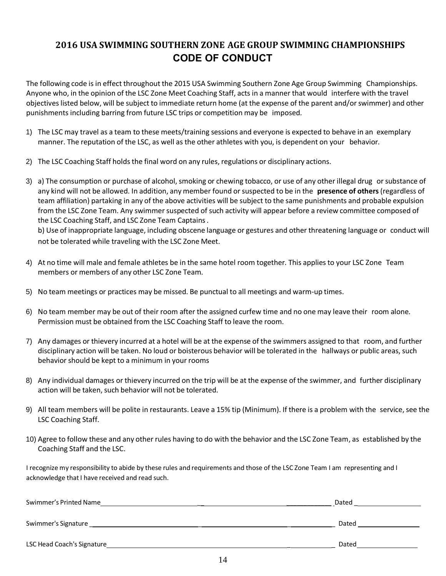### **2016 USA SWIMMING SOUTHERN ZONE AGE GROUP SWIMMING CHAMPIONSHIPS CODE OF CONDUCT**

The following code is in effect throughout the 2015 USA Swimming Southern Zone Age Group Swimming Championships. Anyone who, in the opinion of the LSC Zone Meet Coaching Staff, acts in a manner that would interfere with the travel objectives listed below, will be subject to immediate return home (at the expense of the parent and/or swimmer) and other punishments including barring from future LSC trips or competition may be imposed.

- 1) The LSC may travel as a team to these meets/training sessions and everyone is expected to behave in an exemplary manner. The reputation of the LSC, as well as the other athletes with you, is dependent on your behavior.
- 2) The LSC Coaching Staff holds the final word on any rules, regulations or disciplinary actions.
- 3) a) The consumption or purchase of alcohol, smoking or chewing tobacco, or use of any other illegal drug or substance of any kind will not be allowed. In addition, any member found orsuspected to be in the **presence of others**(regardless of team affiliation) partaking in any of the above activities will be subject to the same punishments and probable expulsion from the LSC Zone Team. Any swimmer suspected of such activity will appear before a review committee composed of the LSC Coaching Staff, and LSC Zone Team Captains.

b) Use of inappropriate language, including obscene language or gestures and other threatening language or conduct will not be tolerated while traveling with the LSC Zone Meet.

- 4) At no time will male and female athletes be in the same hotel room together. This applies to your LSC Zone Team members or members of any other LSC Zone Team.
- 5) No team meetings or practices may be missed. Be punctual to all meetings and warm-up times.
- 6) No team member may be out of their room after the assigned curfew time and no one may leave their room alone. Permission must be obtained from the LSC Coaching Staff to leave the room.
- 7) Any damages or thievery incurred at a hotel will be at the expense of the swimmers assigned to that room, and further disciplinary action will be taken. No loud or boisterous behavior will be tolerated in the hallways or public areas, such behavior should be kept to a minimum in your rooms
- 8) Any individual damages or thievery incurred on the trip will be at the expense of the swimmer, and further disciplinary action will be taken, such behavior will not be tolerated.
- 9) All team members will be polite in restaurants. Leave a 15% tip (Minimum). If there is a problem with the service, see the LSC Coaching Staff.
- 10) Agree to follow these and any other rules having to do with the behavior and the LSC Zone Team, as established by the Coaching Staff and the LSC.

I recognize my responsibility to abide by these rules and requirements and those of the LSC Zone Team I am representing and I acknowledge that I have received and read such.

| Swimmer's Printed Name     | Dated |
|----------------------------|-------|
| Swimmer's Signature        | Dated |
| LSC Head Coach's Signature | Dated |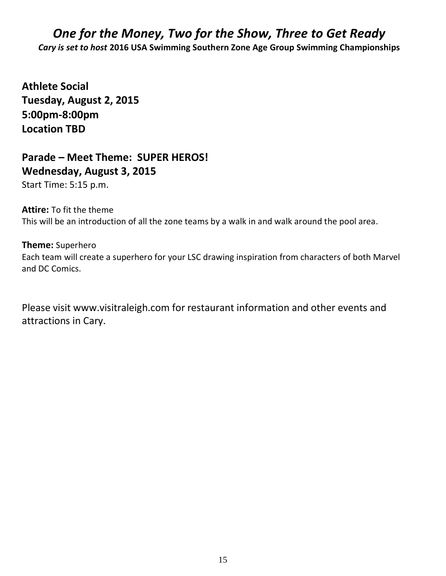# *One for the Money, Two for the Show, Three to Get Ready*

*Cary is set to host* **2016 USA Swimming Southern Zone Age Group Swimming Championships**

**Athlete Social Tuesday, August 2, 2015 5:00pm-8:00pm Location TBD** 

## **Parade – Meet Theme: SUPER HEROS! Wednesday, August 3, 2015**

Start Time: 5:15 p.m.

**Attire:** To fit the theme This will be an introduction of all the zone teams by a walk in and walk around the pool area.

### **Theme:** Superhero

Each team will create a superhero for your LSC drawing inspiration from characters of both Marvel and DC Comics.

Please visit www.visitraleigh.com for restaurant information and other events and attractions in Cary.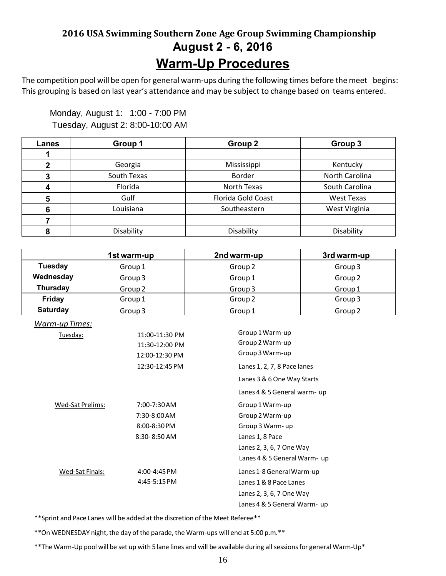# **2016 USA Swimming Southern Zone Age Group Swimming Championship August 2 - 6, 2016 Warm-Up Procedures**

The competition pool will be open for general warm-ups during the following times before the meet begins: This grouping is based on last year's attendance and may be subject to change based on teams entered.

 Monday, August 1: 1:00 - 7:00 PM Tuesday, August 2: 8:00-10:00 AM

| Lanes | Group 1     | Group <sub>2</sub> | Group 3           |
|-------|-------------|--------------------|-------------------|
|       |             |                    |                   |
|       | Georgia     | Mississippi        | Kentucky          |
|       | South Texas | Border             | North Carolina    |
|       | Florida     | North Texas        | South Carolina    |
|       | Gulf        | Florida Gold Coast | <b>West Texas</b> |
| 6     | Louisiana   | Southeastern       | West Virginia     |
|       |             |                    |                   |
|       | Disability  | Disability         | Disability        |

|                 | 1st warm-up        | 2nd warm-up        | 3rd warm-up        |
|-----------------|--------------------|--------------------|--------------------|
| <b>Tuesday</b>  | Group 1            | Group <sub>2</sub> | Group 3            |
| Wednesday       | Group 3            | Group 1            | Group <sub>2</sub> |
| <b>Thursday</b> | Group <sub>2</sub> | Group 3            | Group 1            |
| <b>Friday</b>   | Group 1            | Group <sub>2</sub> | Group 3            |
| <b>Saturday</b> | Group 3            | Group 1            | Group <sub>2</sub> |

| <u> Warm-up Times:</u> |                  |                             |
|------------------------|------------------|-----------------------------|
| <u>Tuesday:</u>        | 11:00-11:30 PM   | Group 1 Warm-up             |
|                        | 11:30-12:00 PM   | Group 2 Warm-up             |
|                        | 12:00-12:30 PM   | Group 3 Warm-up             |
|                        | 12:30-12:45 PM   | Lanes 1, 2, 7, 8 Pace lanes |
|                        |                  | Lanes 3 & 6 One Way Starts  |
|                        |                  | Lanes 4 & 5 General warm-up |
| Wed-Sat Prelims:       | 7:00-7:30 AM     | Group 1 Warm-up             |
|                        | 7:30-8:00 AM     | Group 2 Warm-up             |
|                        | 8:00-8:30 PM     | Group 3 Warm-up             |
|                        | $8:30 - 8:50$ AM | Lanes 1, 8 Pace             |
|                        |                  | Lanes 2, 3, 6, 7 One Way    |
|                        |                  | Lanes 4 & 5 General Warm-up |
| Wed-Sat Finals:        | $4:00 - 4:45$ PM | Lanes 1-8 General Warm-up   |
|                        | $4:45-5:15$ PM   | Lanes 1 & 8 Pace Lanes      |
|                        |                  | Lanes 2, 3, 6, 7 One Way    |
|                        |                  | Lanes 4 & 5 General Warm-up |

\*\*Sprint and Pace Lanes will be added at the discretion of the Meet Referee\*\*

\*\*On WEDNESDAY night, the day of the parade, the Warm-ups will end at 5:00 p.m.\*\*

\*\*The Warm-Up pool will be set up with 5 lane lines and will be available during all sessions for general Warm-Up\*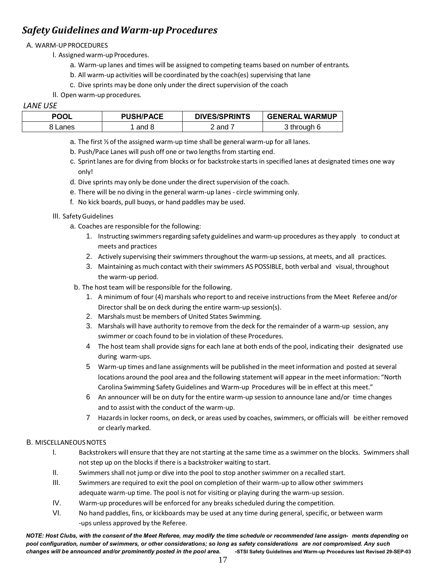### *Safety Guidelines and Warm-up Procedures*

#### A. WARM-UP PROCEDURES

- I. Assigned warm-up Procedures.
	- a. Warm-up lanes and times will be assigned to competing teams based on number of entrants.
	- b. All warm-up activities will be coordinated by the coach(es) supervising that lane
	- c. Dive sprints may be done only under the direct supervision of the coach
- II. Open warm-up procedures.

#### *LANE USE*

| <b>POOL</b> | <b>PUSH/PACE</b> | <b>DIVES/SPRINTS</b> | <b>GENERAL WARMUP</b>  |
|-------------|------------------|----------------------|------------------------|
| 8 Lanes     | and 8            | and                  | <sup>?</sup> through 6 |

- a. The first  $\frac{1}{2}$  of the assigned warm-up time shall be general warm-up for all lanes.
- b. Push/Pace Lanes will push off one or two lengths from starting end.
- c. Sprintlanes are for diving from blocks or for backstroke starts in specified lanes at designated times one way only!
- d. Dive sprints may only be done under the direct supervision of the coach.
- e. There will be no diving in the general warm-up lanes circle swimming only.
- f. No kick boards, pull buoys, or hand paddles may be used.

#### III. SafetyGuidelines

- a. Coaches are responsible for the following:
	- 1. Instructing swimmers regarding safety guidelines and warm-up procedures as they apply to conduct at meets and practices
	- 2. Actively supervising their swimmers throughout the warm-up sessions, at meets, and all practices.
	- 3. Maintaining as much contact with their swimmers AS POSSIBLE, both verbal and visual, throughout the warm-up period.
- b. The host team will be responsible for the following.
	- 1. A minimum of four (4) marshals who report to and receive instructionsfrom the Meet Referee and/or Director shall be on deck during the entire warm-up session(s).
	- 2. Marshals must be members of United States Swimming.
	- 3. Marshals will have authority to remove from the deck for the remainder of a warm-up session, any swimmer or coach found to be in violation of these Procedures.
	- 4 The host team shall provide signs for each lane at both ends of the pool, indicating their designated use during warm-ups.
	- 5 Warm-up times and lane assignments will be published in the meet information and posted atseveral locations around the pool area and the following statement will appear in the meet information: "North Carolina Swimming Safety Guidelines and Warm-up Procedures will be in effect at this meet."
	- 6 An announcer will be on duty for the entire warm-up session to announce lane and/or time changes and to assist with the conduct of the warm-up.
	- 7 Hazardsin locker rooms, on deck, or areas used by coaches, swimmers, or officials will be either removed or clearly marked.

#### B. MISCELLANEOUSNOTES

- I. Backstrokers will ensure that they are not starting at the same time as a swimmer on the blocks. Swimmers shall not step up on the blocks if there is a backstroker waiting to start.
- II. Swimmers shall not jump or dive into the pool to stop another swimmer on a recalled start.
- III. Swimmers are required to exit the pool on completion of their warm-up to allow other swimmers adequate warm-up time. The pool is not for visiting or playing during the warm-up session.
- IV. Warm-up procedures will be enforced for any breaks scheduled during the competition.
- VI. No hand paddles, fins, or kickboards may be used at any time during general, specific, or between warm -ups unless approved by the Referee.

NOTE: Host Clubs, with the consent of the Meet Referee, may modify the time schedule or recommended lane assign- ments depending on *pool configuration, number of swimmers, or other considerations; so long as safety considerations are not compromised. Any such* changes will be announced and/or prominently posted in the pool area. -STSI Safety Guidelines and Warm-up Procedures last Revised 29-SEP-03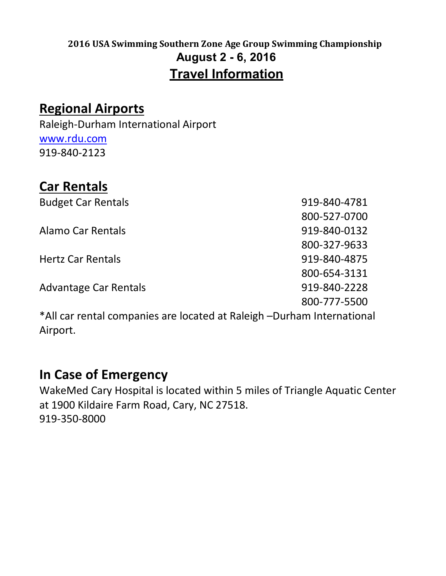# **2016 USA Swimming Southern Zone Age Group Swimming Championship August 2 - 6, 2016 Travel Information**

# **Regional Airports**

Raleigh-Durham International Airport [www.rdu.com](http://www.rdu.com/) 919-840-2123

# **Car Rentals**

Budget Car Rentals **919-840-4781** 800-527-0700 Alamo Car Rentals **Alamo Car Rentals 919-840-0132** 800-327-9633 Hertz Car Rentals 919-840-4875 800-654-3131 Advantage Car Rentals **919-840-2228** 800-777-5500

\*All car rental companies are located at Raleigh –Durham International Airport.

# **In Case of Emergency**

WakeMed Cary Hospital is located within 5 miles of Triangle Aquatic Center at 1900 Kildaire Farm Road, Cary, NC 27518. 919-350-8000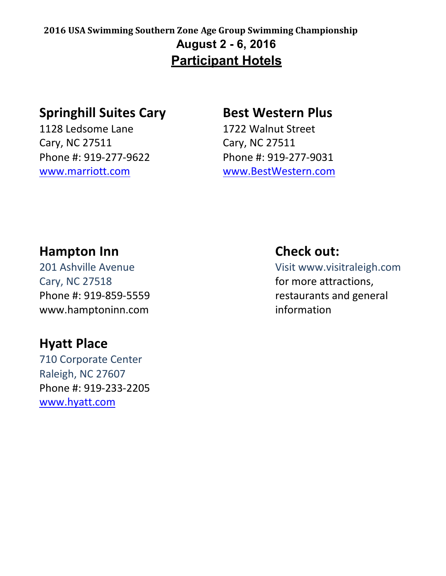## **2016 USA Swimming Southern Zone Age Group Swimming Championship August 2 - 6, 2016 Participant Hotels**

# **Springhill Suites Cary Best Western Plus**

1128 Ledsome Lane 1722 Walnut Street Cary, NC 27511 Cary, NC 27511

Phone #: 919-277-9622 Phone #: 919-277-9031 [www.marriott.com](http://www.marriott.com/) [www.BestWestern.com](http://www.bestwestern.com/)

# **Hampton Inn Check out:**

Cary, NC 27518 **for more attractions,** www.hamptoninn.com information

# **Hyatt Place**

710 Corporate Center Raleigh, NC 27607 Phone #: 919-233-2205 [www.hyatt.com](http://www.hyatt.com/)

201 Ashville Avenue Visit www.visitraleigh.com Phone #: 919-859-5559 restaurants and general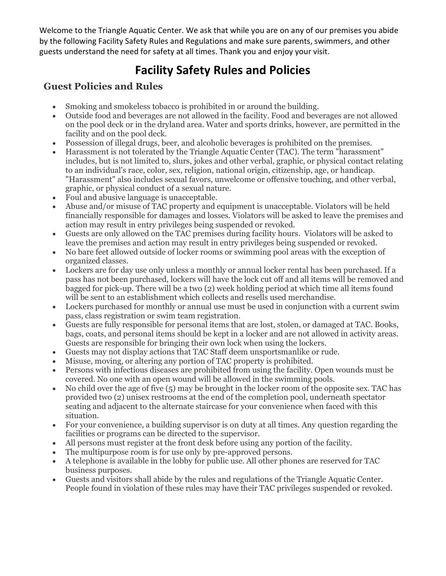Welcome to the Triangle Aquatic Center. We ask that while you are on any of our premises you abide by the following Facility Safety Rules and Regulations and make sure parents, swimmers, and other guests understand the need for safety at all times. Thank you and enjoy your visit.

# **Facility Safety Rules and Policies**

### **Guest Policies and Rules**

- · Smoking and smokeless tobacco is prohibited in or around the building.
- · Outside food and beverages are not allowed in the facility. Food and beverages are not allowed on the pool deck or in the dryland area. Water and sports drinks, however, are permitted in the facility and on the pool deck.
- · Possession of illegal drugs, beer, and alcoholic beverages is prohibited on the premises.
- · Harassment is not tolerated by the Triangle Aquatic Center (TAC). The term "harassment" includes, but is not limited to, slurs, jokes and other verbal, graphic, or physical contact relating to an individual's race, color, sex, religion, national origin, citizenship, age, or handicap. "Harassment" also includes sexual favors, unwelcome or offensive touching, and other verbal, graphic, or physical conduct of a sexual nature.
- · Foul and abusive language is unacceptable.
- · Abuse and/or misuse of TAC property and equipment is unacceptable. Violators will be held financially responsible for damages and losses. Violators will be asked to leave the premises and action may result in entry privileges being suspended or revoked.
- · Guests are only allowed on the TAC premises during facility hours. Violators will be asked to leave the premises and action may result in entry privileges being suspended or revoked.
- · No bare feet allowed outside of locker rooms or swimming pool areas with the exception of organized classes.
- Lockers are for day use only unless a monthly or annual locker rental has been purchased. If a pass has not been purchased, lockers will have the lock cut off and all items will be removed and bagged for pick-up. There will be a two (2) week holding period at which time all items found will be sent to an establishment which collects and resells used merchandise.
- Lockers purchased for monthly or annual use must be used in conjunction with a current swim pass, class registration or swim team registration.
- · Guests are fully responsible for personal items that are lost, stolen, or damaged at TAC. Books, bags, coats, and personal items should be kept in a locker and are not allowed in activity areas. Guests are responsible for bringing their own lock when using the lockers.
- · Guests may not display actions that TAC Staff deem unsportsmanlike or rude.
- · Misuse, moving, or altering any portion of TAC property is prohibited.
- · Persons with infectious diseases are prohibited from using the facility. Open wounds must be covered. No one with an open wound will be allowed in the swimming pools.
- · No child over the age of five (5) may be brought in the locker room of the opposite sex. TAC has provided two (2) unisex restrooms at the end of the completion pool, underneath spectator seating and adjacent to the alternate staircase for your convenience when faced with this situation.
- · For your convenience, a building supervisor is on duty at all times. Any question regarding the facilities or programs can be directed to the supervisor.
- · All persons must register at the front desk before using any portion of the facility.
- The multipurpose room is for use only by pre-approved persons.
- · A telephone is available in the lobby for public use. All other phones are reserved for TAC business purposes.
- Guests and visitors shall abide by the rules and regulations of the Triangle Aquatic Center. People found in violation of these rules may have their TAC privileges suspended or revoked.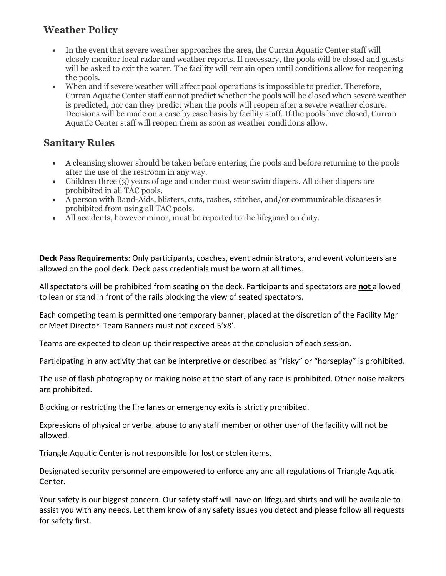### **Weather Policy**

- · In the event that severe weather approaches the area, the Curran Aquatic Center staff will closely monitor local radar and weather reports. If necessary, the pools will be closed and guests will be asked to exit the water. The facility will remain open until conditions allow for reopening the pools.
- · When and if severe weather will affect pool operations is impossible to predict. Therefore, Curran Aquatic Center staff cannot predict whether the pools will be closed when severe weather is predicted, nor can they predict when the pools will reopen after a severe weather closure. Decisions will be made on a case by case basis by facility staff. If the pools have closed, Curran Aquatic Center staff will reopen them as soon as weather conditions allow.

### **Sanitary Rules**

- · A cleansing shower should be taken before entering the pools and before returning to the pools after the use of the restroom in any way.
- Children three (3) years of age and under must wear swim diapers. All other diapers are prohibited in all TAC pools.
- · A person with Band-Aids, blisters, cuts, rashes, stitches, and/or communicable diseases is prohibited from using all TAC pools.
- · All accidents, however minor, must be reported to the lifeguard on duty.

**Deck Pass Requirements**: Only participants, coaches, event administrators, and event volunteers are allowed on the pool deck. Deck pass credentials must be worn at all times.

All spectators will be prohibited from seating on the deck. Participants and spectators are **not** allowed to lean or stand in front of the rails blocking the view of seated spectators.

Each competing team is permitted one temporary banner, placed at the discretion of the Facility Mgr or Meet Director. Team Banners must not exceed 5'x8'.

Teams are expected to clean up their respective areas at the conclusion of each session.

Participating in any activity that can be interpretive or described as "risky" or "horseplay" is prohibited.

The use of flash photography or making noise at the start of any race is prohibited. Other noise makers are prohibited.

Blocking or restricting the fire lanes or emergency exits is strictly prohibited.

Expressions of physical or verbal abuse to any staff member or other user of the facility will not be allowed.

Triangle Aquatic Center is not responsible for lost or stolen items.

Designated security personnel are empowered to enforce any and all regulations of Triangle Aquatic Center.

Your safety is our biggest concern. Our safety staff will have on lifeguard shirts and will be available to assist you with any needs. Let them know of any safety issues you detect and please follow all requests for safety first.